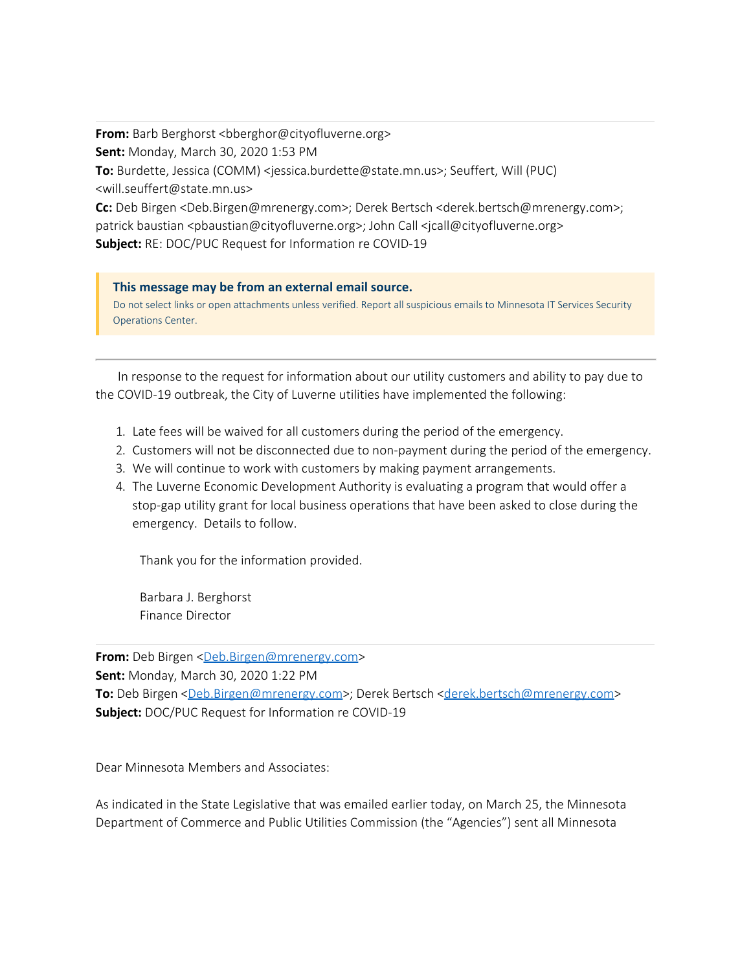**From:** Barb Berghorst <bberghor@cityofluverne.org> **Sent:** Monday, March 30, 2020 1:53 PM **To:** Burdette, Jessica (COMM) <jessica.burdette@state.mn.us>; Seuffert, Will (PUC) <will.seuffert@state.mn.us> **Cc:** Deb Birgen <Deb.Birgen@mrenergy.com>; Derek Bertsch <derek.bertsch@mrenergy.com>;

patrick baustian <pbaustian@cityofluverne.org>; John Call <jcall@cityofluverne.org> **Subject:** RE: DOC/PUC Request for Information re COVID-19

## **This message may be from an external email source.**

Do not select links or open attachments unless verified. Report all suspicious emails to Minnesota IT Services Security Operations Center.

In response to the request for information about our utility customers and ability to pay due to the COVID-19 outbreak, the City of Luverne utilities have implemented the following:

- 1. Late fees will be waived for all customers during the period of the emergency.
- 2. Customers will not be disconnected due to non-payment during the period of the emergency.
- 3. We will continue to work with customers by making payment arrangements.
- 4. The Luverne Economic Development Authority is evaluating a program that would offer a stop-gap utility grant for local business operations that have been asked to close during the emergency. Details to follow.

Thank you for the information provided.

Barbara J. Berghorst Finance Director

**From:** Deb Birgen <[Deb.Birgen@mrenergy.com](mailto:Deb.Birgen@mrenergy.com)>

**Sent:** Monday, March 30, 2020 1:22 PM

To: Deb Birgen [<Deb.Birgen@mrenergy.com](mailto:Deb.Birgen@mrenergy.com)>; Derek Bertsch [<derek.bertsch@mrenergy.com](mailto:derek.bertsch@mrenergy.com)> **Subject:** DOC/PUC Request for Information re COVID-19

Dear Minnesota Members and Associates:

As indicated in the State Legislative that was emailed earlier today, on March 25, the Minnesota Department of Commerce and Public Utilities Commission (the "Agencies") sent all Minnesota